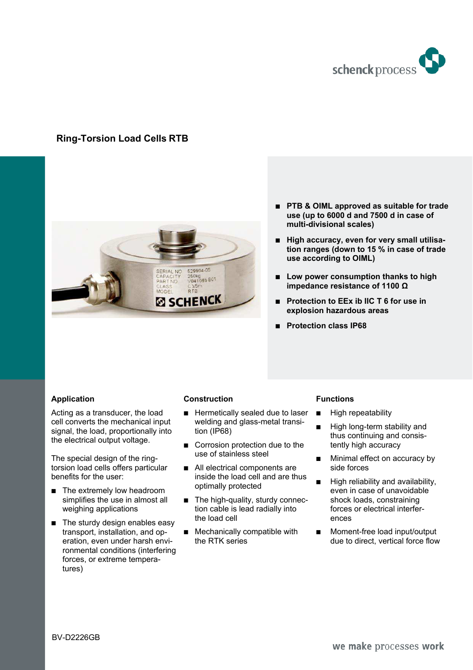

# **Ring-Torsion Load Cells RTB**



- PTB & OIML approved as suitable for trade **use (up to 6000 d and 7500 d in case of multi-divisional scales)**
- $\blacksquare$  High accuracy, even for very small utilisa**tion ranges (down to 15 % in case of trade use according to OIML)**
- Low power consumption thanks to high **impedance resistance of 1100 Ω**
- % **Protection to EEx ib IIC T 6 for use in explosion hazardous areas**
- % **Protection class IP68**

### **Application**

Acting as a transducer, the load cell converts the mechanical input signal, the load, proportionally into the electrical output voltage.

The special design of the ringtorsion load cells offers particular benefits for the user:

- $\blacksquare$  The extremely low headroom simplifies the use in almost all weighing applications
- $\blacksquare$  The sturdy design enables easy transport, installation, and operation, even under harsh environmental conditions (interfering forces, or extreme temperatures)

#### **Construction**

- $\blacksquare$  Hermetically sealed due to laser welding and glass-metal transition (IP68)
- $\Box$  Corrosion protection due to the use of stainless steel
- All electrical components are inside the load cell and are thus optimally protected
- $\blacksquare$  The high-quality, sturdy connection cable is lead radially into the load cell
- $\blacksquare$  Mechanically compatible with the RTK series

#### **Functions**

- **E** High repeatability
- **E** High long-term stability and thus continuing and consistently high accuracy
- Minimal effect on accuracy by side forces
- High reliability and availability, even in case of unavoidable shock loads, constraining forces or electrical interferences
- **Moment-free load input/output** due to direct, vertical force flow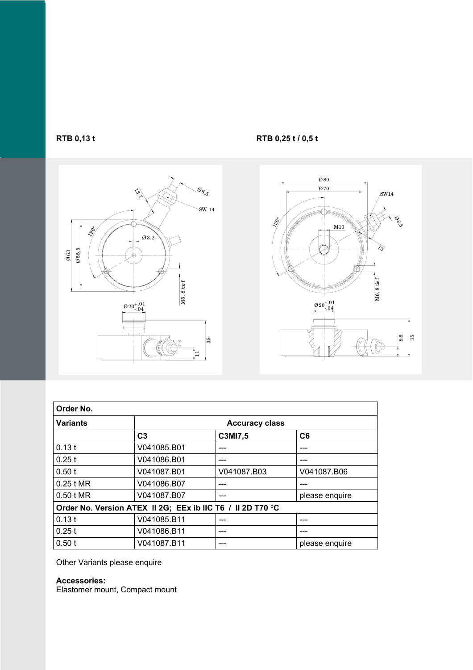



**RTB 0,13 t** RTB 0,25 t / 0,5 t



| Order No.       |                                                            |             |                |  |  |  |  |  |  |
|-----------------|------------------------------------------------------------|-------------|----------------|--|--|--|--|--|--|
| <b>Variants</b> | <b>Accuracy class</b>                                      |             |                |  |  |  |  |  |  |
|                 | C <sub>3</sub>                                             | C3MI7,5     | C6             |  |  |  |  |  |  |
| 0.13t           | V041085.B01                                                |             |                |  |  |  |  |  |  |
| 0.25t           | V041086.B01                                                |             |                |  |  |  |  |  |  |
| 0.50 t          | V041087.B01                                                | V041087.B03 | V041087.B06    |  |  |  |  |  |  |
| 0.25 t MR       | V041086.B07                                                |             |                |  |  |  |  |  |  |
| 0.50 t MR       | V041087.B07                                                | ---         | please enquire |  |  |  |  |  |  |
|                 | Order No. Version ATEX II 2G; EEx ib IIC T6 / II 2D T70 °C |             |                |  |  |  |  |  |  |
| 0.13t           | V041085.B11                                                | ---         |                |  |  |  |  |  |  |
| 0.25t           | V041086.B11                                                | ---         |                |  |  |  |  |  |  |
| 0.50 t          | V041087.B11                                                |             | please enquire |  |  |  |  |  |  |

Other Variants please enquire

# **Accessories:**

Elastomer mount, Compact mount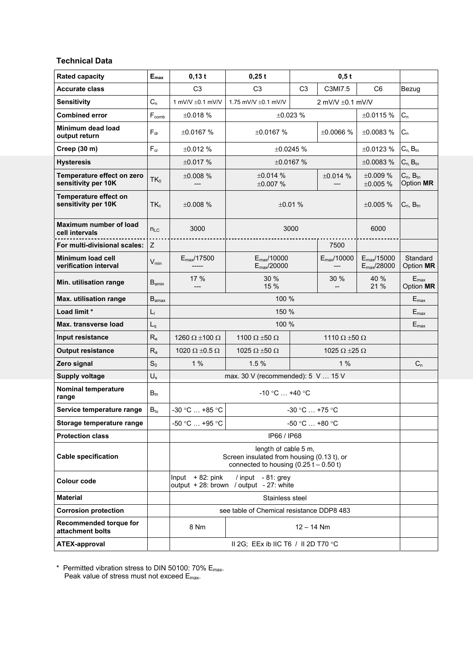### **Technical Data**

| <b>Rated capacity</b>                             | $E_{\text{max}}$  | $0,13$ t                                                                            | $0,25$ t                                                                                                       |                          | 0,5t                       |                                                   |                               |  |
|---------------------------------------------------|-------------------|-------------------------------------------------------------------------------------|----------------------------------------------------------------------------------------------------------------|--------------------------|----------------------------|---------------------------------------------------|-------------------------------|--|
| <b>Accurate class</b>                             |                   | C <sub>3</sub>                                                                      | C <sub>3</sub>                                                                                                 | C <sub>3</sub>           | C3MI7.5                    | C <sub>6</sub>                                    | Bezug                         |  |
| <b>Sensitivity</b>                                | $C_n$             | 1 mV/V $\pm$ 0.1 mV/V                                                               | 1.75 mV/V ±0.1 mV/V                                                                                            |                          | 2 mV/V ±0.1 mV/V           |                                                   |                               |  |
| <b>Combined error</b>                             | $F_{comb}$        | ±0.018%                                                                             |                                                                                                                | ±0.023%                  |                            | ±0.0115%                                          | $C_n$                         |  |
| Minimum dead load<br>output return                | $F_{dr}$          | ±0.0167%                                                                            | ±0.0167%                                                                                                       |                          | ±0.0066%                   | ±0.0083%                                          | $C_n$                         |  |
| Creep (30 m)                                      | $F_{cr}$          | ±0.012%                                                                             |                                                                                                                | ±0.0245%                 |                            | ±0.0123%                                          | $C_{n}$ , $B_{tn}$            |  |
| <b>Hysteresis</b>                                 |                   | ±0.017%                                                                             |                                                                                                                | ±0.0167%                 |                            | ±0.0083%                                          | $C_{n}$ , $B_{tn}$            |  |
| Temperature effect on zero<br>sensitivity per 10K | $TK_0$            | ±0.008%                                                                             | ±0.014%<br>±0.007%                                                                                             |                          | $\pm 0.014$ %              | ±0.009%<br>±0.005%                                | $C_n$ , $B_m$<br>Option MR    |  |
| Temperature effect on<br>sensitivity per 10K      | $TK_c$            | ±0.008%                                                                             |                                                                                                                | ±0.01%                   |                            | ±0.005%                                           | $C_n$ , $B_{tn}$              |  |
| <b>Maximum number of load</b><br>cell intervals   | $n_{LC}$          | 3000                                                                                |                                                                                                                | 3000                     |                            | 6000                                              |                               |  |
| For multi-divisional scales:                      | Z                 |                                                                                     |                                                                                                                |                          | 7500                       |                                                   |                               |  |
| <b>Minimum load cell</b><br>verification interval | $V_{min}$         | $E_{\text{max}}$ /17500<br>$- - - - -$                                              | $E_{\text{max}}$ /10000<br>$E_{\text{max}}$ /20000                                                             |                          | $E_{\text{max}}$ /10000    | $E_{\text{max}}/15000$<br>$E_{\text{max}}$ /28000 | Standard<br>Option MR         |  |
| Min. utilisation range                            | $B_{\text{amin}}$ | 17 %                                                                                | 30 %<br>15 %                                                                                                   |                          | 30 %                       | 40 %<br>21 %                                      | $E_{\text{max}}$<br>Option MR |  |
| Max. utilisation range                            | $B_{\text{amax}}$ |                                                                                     | 100 %                                                                                                          |                          |                            |                                                   | $E_{\text{max}}$              |  |
| Load limit *                                      | L,                | 150 %                                                                               |                                                                                                                |                          |                            |                                                   |                               |  |
| Max. transverse load                              | $L_q$             |                                                                                     | 100 %                                                                                                          |                          |                            |                                                   | $E_{\text{max}}$              |  |
| Input resistance                                  | $R_{e}$           | 1260 $\Omega$ ±100 $\Omega$                                                         | 1100 $\Omega$ ±50 $\Omega$                                                                                     |                          | 1110 $\Omega$ ±50 $\Omega$ |                                                   |                               |  |
| <b>Output resistance</b>                          | $R_{a}$           | 1020 $\Omega$ ±0.5 $\Omega$                                                         | 1025 $\Omega$ ±50 $\Omega$                                                                                     |                          | 1025 $\Omega$ ±25 $\Omega$ |                                                   |                               |  |
| Zero signal                                       | $S_0$             | 1%                                                                                  | 1.5%                                                                                                           |                          | 1%                         |                                                   | $C_n$                         |  |
| Supply voltage                                    | $U_{s}$           |                                                                                     | max. 30 V (recommended): $5 \text{ V} \dots 15 \text{ V}$                                                      |                          |                            |                                                   |                               |  |
| Nominal temperature<br>range                      | $B_{tn}$          |                                                                                     | $-10 °C$ +40 °C                                                                                                |                          |                            |                                                   |                               |  |
| Service temperature range                         | $B_{tu}$          | $-30$ °C $$ +85 °C                                                                  |                                                                                                                | $-30 °C  +75 °C$         |                            |                                                   |                               |  |
| Storage temperature range                         |                   | -50 °C  +95 °C                                                                      |                                                                                                                | $-50$ °C $\ldots +80$ °C |                            |                                                   |                               |  |
| <b>Protection class</b>                           |                   |                                                                                     | IP66 / IP68                                                                                                    |                          |                            |                                                   |                               |  |
| <b>Cable specification</b>                        |                   |                                                                                     | length of cable 5 m,<br>Screen insulated from housing (0.13 t), or<br>connected to housing $(0.25 t - 0.50 t)$ |                          |                            |                                                   |                               |  |
| <b>Colour code</b>                                |                   | Input $+82$ : pink<br>/ input - 81: grey<br>output + 28: brown / output - 27: white |                                                                                                                |                          |                            |                                                   |                               |  |
| <b>Material</b>                                   |                   | Stainless steel                                                                     |                                                                                                                |                          |                            |                                                   |                               |  |
| <b>Corrosion protection</b>                       |                   |                                                                                     | see table of Chemical resistance DDP8 483                                                                      |                          |                            |                                                   |                               |  |
| Recommended torque for<br>attachment bolts        |                   | 8 Nm                                                                                |                                                                                                                | $12 - 14$ Nm             |                            |                                                   |                               |  |
| <b>ATEX-approval</b>                              |                   |                                                                                     | II 2G; EEx ib IIC T6 / II 2D T70 °C                                                                            |                          |                            |                                                   |                               |  |

\* Permitted vibration stress to DIN 50100: 70% Emax. Peak value of stress must not exceed E<sub>max</sub>.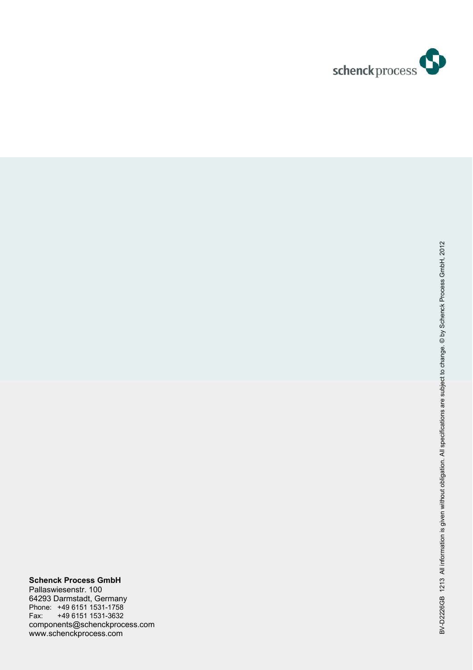

# **Schenck Process GmbH**

Pallaswiesenstr. 100 64293 Darmstadt, Germany Phone: +49 6151 1531-1758 Fax: +49 6151 1531-3632 components@schenckprocess.com www.schenckprocess.com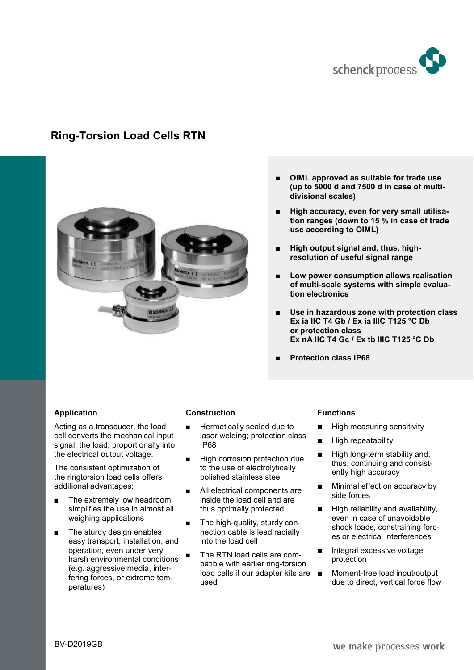

# **Ring-Torsion Load Cells RTN**



- % **OIML approved as suitable for trade use (up to 5000 d and 7500 d in case of multidivisional scales)**
- High accuracy, even for very small utilisa**tion ranges (down to 15 % in case of trade use according to OIML)**
- % **High output signal and, thus, highresolution of useful signal range**
- % **Low power consumption allows realisation of multi-scale systems with simple evaluation electronics**
- Use in hazardous zone with protection class **Ex ia IIC T4 Gb / Ex ia IIIC T125 °C Db or protection class Ex nA IIC T4 Gc / Ex tb IIIC T125 °C Db**
- % **Protection class IP68**

### **Application**

Acting as a transducer, the load cell converts the mechanical input signal, the load, proportionally into the electrical output voltage.

The consistent optimization of the ringtorsion load cells offers additional advantages:

- The extremely low headroom simplifies the use in almost all weighing applications
- $\blacksquare$  The sturdy design enables easy transport, installation, and operation, even under very harsh environmental conditions (e.g. aggressive media, interfering forces, or extreme temperatures)

### **Construction**

- $\blacksquare$  Hermetically sealed due to laser welding; protection class IP68
- **High corrosion protection due** to the use of electrolytically polished stainless steel
- All electrical components are inside the load cell and are thus optimally protected
- $\blacksquare$  The high-quality, sturdy connection cable is lead radially into the load cell
- The RTN load cells are compatible with earlier ring-torsion load cells if our adapter kits are ■ used

#### **Functions**

- High measuring sensitivity
- **High repeatability**
- **High long-term stability and,** thus, continuing and consistently high accuracy
- Minimal effect on accuracy by side forces
- High reliability and availability, even in case of unavoidable shock loads, constraining forces or electrical interferences
- Integral excessive voltage protection
- Moment-free load input/output due to direct, vertical force flow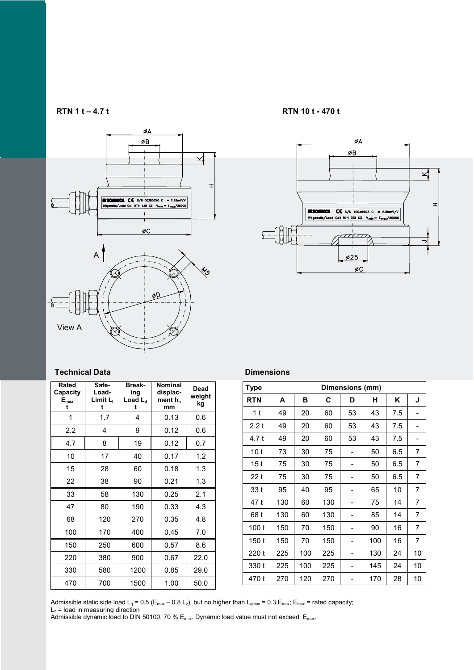

#### **RTN 1 t – 4.7 t RTN 10 t - 470 t**



#### **Technical Data**

| Rated<br>Capacity<br>$E_{\text{max}}$<br>t | Safe-<br>Load-<br>Limit L<br>t | <b>Break-</b><br>ing<br>Load $L_d$<br>t | <b>Nominal</b><br>displac-<br>ment h <sub>n</sub><br>mm | Dead<br>weight<br>kg |
|--------------------------------------------|--------------------------------|-----------------------------------------|---------------------------------------------------------|----------------------|
| 1                                          | 1.7                            | 4                                       | 0.13                                                    | 0.6                  |
| 2.2                                        | 4                              | 9                                       | 0.12                                                    | 0.6                  |
| 4.7                                        | 8                              | 19                                      | 0.12                                                    | 0.7                  |
| 10                                         | 17                             | 40                                      | 0.17                                                    | 1.2                  |
| 15                                         | 28                             | 60                                      | 0.18                                                    | 1.3                  |
| 22                                         | 38                             | 90                                      | 0.21                                                    | 1.3                  |
| 33                                         | 58                             | 130                                     | 0.25                                                    | 2.1                  |
| 47                                         | 80                             | 190                                     | 0.33                                                    | 4.3                  |
| 68                                         | 120                            | 270                                     | 0.35                                                    | 4.8                  |
| 100                                        | 170                            | 400                                     | 0.45                                                    | 7.0                  |
| 150                                        | 250                            | 600                                     | 0.57                                                    | 8.6                  |
| 220                                        | 380                            | 900                                     | 0.67                                                    | 22.0                 |
| 330                                        | 580                            | 1200                                    | 0.85                                                    | 29.0                 |
| 470                                        | 700                            | 1500                                    | 1.00                                                    | 50.0                 |

#### **Dimensions**

| <b>Type</b>     |     |     |     | Dimensions (mm) |     |     |    |
|-----------------|-----|-----|-----|-----------------|-----|-----|----|
| <b>RTN</b>      | A   | в   | C   | D               | н   | Κ   | J  |
| 1 t             | 49  | 20  | 60  | 53              | 43  | 7.5 |    |
| 2.2t            | 49  | 20  | 60  | 53              | 43  | 7.5 |    |
| 4.7 t           | 49  | 20  | 60  | 53              | 43  | 7.5 |    |
| 10 <sub>t</sub> | 73  | 30  | 75  |                 | 50  | 6.5 | 7  |
| 15t             | 75  | 30  | 75  |                 | 50  | 6.5 | 7  |
| 22t             | 75  | 30  | 75  |                 | 50  | 6.5 | 7  |
| 33 t            | 95  | 40  | 95  |                 | 65  | 10  | 7  |
| 47 t            | 130 | 60  | 130 |                 | 75  | 14  | 7  |
| 68 t            | 130 | 60  | 130 |                 | 85  | 14  | 7  |
| 100t            | 150 | 70  | 150 |                 | 90  | 16  | 7  |
| 150t            | 150 | 70  | 150 |                 | 100 | 16  | 7  |
| 220t            | 225 | 100 | 225 |                 | 130 | 24  | 10 |
| 330 t           | 225 | 100 | 225 |                 | 145 | 24  | 10 |
| 470 t           | 270 | 120 | 270 |                 | 170 | 28  | 10 |

Admissible static side load L<sub>q</sub> = 0.5 (E<sub>max</sub> – 0.8 L<sub>z</sub>), but no higher than L<sub>qmax</sub> = 0.3 E<sub>max</sub>; E<sub>max</sub> = rated capacity;

 $L<sub>z</sub>$  = load in measuring direction

Admissible dynamic load to DIN 50100: 70 %  $\mathsf{E}_\mathsf{max}$ . Dynamic load value must not exceed  $\mathsf{E}_\mathsf{max}$ .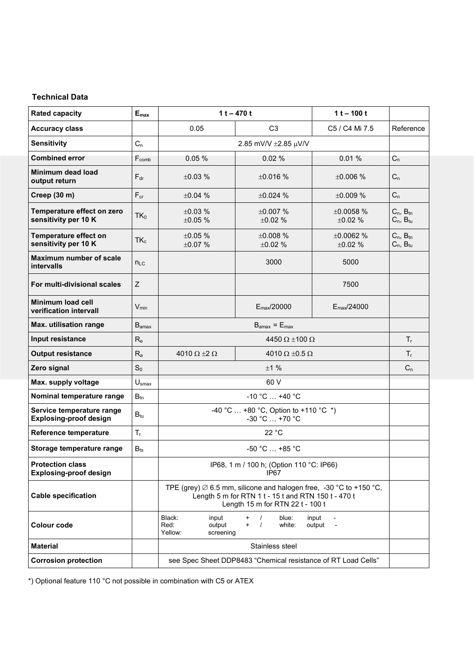## **Technical Data**

| <b>Rated capacity</b>                                      | ${\sf E}_{\sf max}$       |                                                           | $1t - 470t$                                                                                                                                                             | $1t - 100t$             |                                      |  |  |  |
|------------------------------------------------------------|---------------------------|-----------------------------------------------------------|-------------------------------------------------------------------------------------------------------------------------------------------------------------------------|-------------------------|--------------------------------------|--|--|--|
| <b>Accuracy class</b>                                      |                           | 0.05                                                      | C <sub>3</sub>                                                                                                                                                          | C5 / C4 Mi 7.5          | Reference                            |  |  |  |
| <b>Sensitivity</b>                                         | $C_n$                     |                                                           | 2.85 mV/V ±2.85 µV/V                                                                                                                                                    |                         |                                      |  |  |  |
| <b>Combined error</b>                                      | $F_{comb}$                | 0.05%                                                     | 0.02%                                                                                                                                                                   | 0.01%                   | $C_n$                                |  |  |  |
| <b>Minimum dead load</b><br>output return                  | $F_{dr}$                  | ±0.03%                                                    | ±0.016%                                                                                                                                                                 | ±0.006%                 | $C_n$                                |  |  |  |
| Creep (30 m)                                               | $F_{cr}$                  | ±0.04%                                                    | ±0.024%                                                                                                                                                                 | ±0.009%                 | $C_n$                                |  |  |  |
| Temperature effect on zero<br>sensitivity per 10 K         | $TK_0$                    | $+0.03%$<br>±0.05%                                        | $+0.007%$<br>±0.02%                                                                                                                                                     | ±0.0058%<br>±0.02%      | $C_n$ , $B_{tn}$<br>$C_n$ , $B_{tu}$ |  |  |  |
| Temperature effect on<br>sensitivity per 10 K              | $TK_c$                    | ±0.05%<br>±0.07%                                          | ±0.008%<br>±0.02%                                                                                                                                                       | ±0.0062%<br>±0.02%      | $C_n$ , $B_{tn}$<br>$C_n$ , $B_{tu}$ |  |  |  |
| <b>Maximum number of scale</b><br><b>intervalls</b>        | $n_{LC}$                  |                                                           | 3000                                                                                                                                                                    | 5000                    |                                      |  |  |  |
| For multi-divisional scales                                | $\ensuremath{\mathsf{Z}}$ |                                                           |                                                                                                                                                                         | 7500                    |                                      |  |  |  |
| Minimum load cell<br>verification intervall                | $V_{min}$                 |                                                           | $E_{\text{max}}$ /20000                                                                                                                                                 | $E_{\text{max}}$ /24000 |                                      |  |  |  |
| Max. utilisation range                                     | $B_{\text{amax}}$         |                                                           | $B_{\text{amax}} = E_{\text{max}}$                                                                                                                                      |                         |                                      |  |  |  |
| Input resistance                                           | $R_{e}$                   |                                                           | 4450 $\Omega$ ±100 $\Omega$                                                                                                                                             |                         |                                      |  |  |  |
| <b>Output resistance</b>                                   | $R_{a}$                   | 4010 $\Omega$ ±2 $\Omega$                                 | 4010 $\Omega$ ±0.5 $\Omega$                                                                                                                                             |                         | $T_{r}$                              |  |  |  |
| Zero signal                                                | $S_0$                     |                                                           | ±1%                                                                                                                                                                     |                         | $C_n$                                |  |  |  |
| Max. supply voltage                                        | $U_{\text{smax}}$         |                                                           | 60 V                                                                                                                                                                    |                         |                                      |  |  |  |
| Nominal temperature range                                  | $B_{tn}$                  |                                                           | $-10 °C  +40 °C$                                                                                                                                                        |                         |                                      |  |  |  |
| Service temperature range<br><b>Explosing-proof design</b> | $B_{tu}$                  |                                                           | -40 °C  +80 °C, Option to +110 °C $*$ )<br>-30 °C  +70 °C                                                                                                               |                         |                                      |  |  |  |
| Reference temperature                                      | $T_r$                     |                                                           | 22 °C                                                                                                                                                                   |                         |                                      |  |  |  |
| Storage temperature range                                  | $B_{ts}$                  |                                                           | -50 °C  +85 °C                                                                                                                                                          |                         |                                      |  |  |  |
| <b>Protection class</b><br><b>Explosing-proof design</b>   |                           |                                                           | IP68, 1 m / 100 h; (Option 110 °C: IP66)<br>IP67                                                                                                                        |                         |                                      |  |  |  |
| <b>Cable specification</b>                                 |                           |                                                           | TPE (grey) $\emptyset$ 6.5 mm, silicone and halogen free, -30 °C to +150 °C,<br>Length 5 m for RTN 1 t - 15 t and RTN 150 t - 470 t<br>Length 15 m for RTN 22 t - 100 t |                         |                                      |  |  |  |
| <b>Colour code</b>                                         |                           | Black:<br>input<br>Red:<br>output<br>Yellow:<br>screening | blue:<br>$^{+}$<br>$\prime$<br>$\prime$<br>white:<br>$\ddot{}$                                                                                                          | input<br>output         |                                      |  |  |  |
| <b>Material</b>                                            |                           |                                                           | Stainless steel                                                                                                                                                         |                         |                                      |  |  |  |
| <b>Corrosion protection</b>                                |                           |                                                           | see Spec Sheet DDP8483 "Chemical resistance of RT Load Cells"                                                                                                           |                         |                                      |  |  |  |

\*) Optional feature 110 °C not possible in combination with C5 or ATEX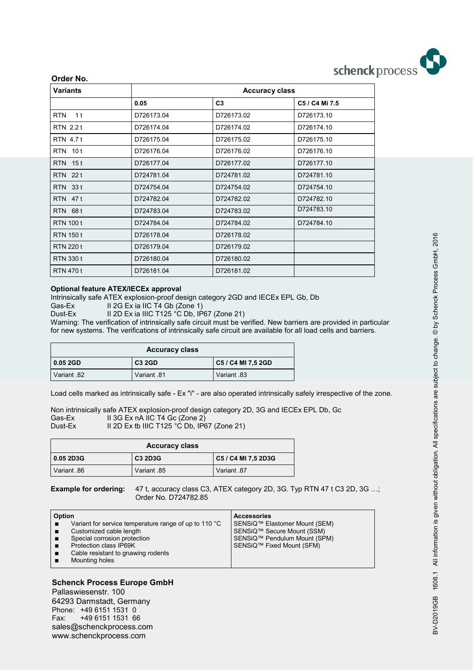

| Order No.                    |            |                       |                |
|------------------------------|------------|-----------------------|----------------|
| <b>Variants</b>              |            | <b>Accuracy class</b> |                |
|                              | 0.05       | C <sub>3</sub>        | C5 / C4 Mi 7.5 |
| 1 <sup>t</sup><br><b>RTN</b> | D726173.04 | D726173.02            | D726173.10     |
| RTN 2.2 t                    | D726174.04 | D726174.02            | D726174.10     |
| <b>RTN 4.7t</b>              | D726175.04 | D726175.02            | D726175.10     |
| <b>RTN 10t</b>               | D726176.04 | D726176.02            | D726176.10     |
| <b>RTN 15t</b>               | D726177.04 | D726177.02            | D726177.10     |
| <b>RTN</b> 22 t              | D724781.04 | D724781.02            | D724781.10     |
| <b>RTN 33t</b>               | D724754.04 | D724754.02            | D724754.10     |
| <b>RTN 47t</b>               | D724782.04 | D724782.02            | D724782.10     |
| <b>RTN 68t</b>               | D724783.04 | D724783.02            | D724783.10     |
| <b>RTN 100 t</b>             | D724784.04 | D724784.02            | D724784.10     |
| <b>RTN 150 t</b>             | D726178.04 | D726178.02            |                |
| <b>RTN 220 t</b>             | D726179.04 | D726179.02            |                |
| <b>RTN 330 t</b>             | D726180.04 | D726180.02            |                |
| <b>RTN 470 t</b>             | D726181.04 | D726181.02            |                |

#### **Optional feature ATEX/IECEx approval**

Intrinsically safe ATEX explosion-proof design category 2GD and IECEx EPL Gb, Db

Gas-Ex II 2G Ex ia IIC T4 Gb (Zone 1)

Dust-Ex II 2D Ex ia IIIC T125 °C Db, IP67 (Zone 21)

Warning: The verification of intrinsically safe circuit must be verified. New barriers are provided in particular for new systems. The verifications of intrinsically safe circuit are available for all load cells and barriers.

| <b>Accuracy class</b> |               |                    |  |  |  |  |  |
|-----------------------|---------------|--------------------|--|--|--|--|--|
| $ 0.052$ GD           | <b>C3 2GD</b> | C5 / C4 MI 7,5 2GD |  |  |  |  |  |
| 82. Variant           | 81. Variant   | 83. Variant        |  |  |  |  |  |

Load cells marked as intrinsically safe - Ex "i" - are also operated intrinsically safely irrespective of the zone.

Non intrinsically safe ATEX explosion-proof design category 2D, 3G and IECEx EPL Db, Gc Gas-Ex  $\overline{\phantom{a}}$  II 3G Ex nA IIC T4 Gc (Zone 2) Dust-Ex II 2D Ex tb IIIC T125 °C Db, IP67 (Zone 21)

| <b>Accuracy class</b> |                |                     |  |  |  |  |  |
|-----------------------|----------------|---------------------|--|--|--|--|--|
| 0.05 2D3G             | <b>C3 2D3G</b> | C5 / C4 MI 7.5 2D3G |  |  |  |  |  |
| 86. Variant           | Variant 85     | Variant 87          |  |  |  |  |  |

**Example for ordering:** 47 t, accuracy class C3, ATEX category 2D, 3G. Typ RTN 47 t C3 2D, 3G …; Order No. D724782.85

| Option |                                                                 | <b>Accessories</b>            |
|--------|-----------------------------------------------------------------|-------------------------------|
|        | Variant for service temperature range of up to 110 $^{\circ}$ C | SENSiQ™ Elastomer Mount (SEM) |
|        | Customized cable length                                         | SENSiQ™ Secure Mount (SSM)    |
|        | Special corrosion protection                                    | SENSiQ™ Pendulum Mount (SPM)  |
|        | Protection class IP69K                                          | SENSiQ™ Fixed Mount (SFM)     |
|        | Cable resistant to gnawing rodents                              |                               |
|        | Mounting holes                                                  |                               |
|        |                                                                 |                               |

### **Schenck Process Europe GmbH**

Pallaswiesenstr. 100 64293 Darmstadt, Germany Phone: +49 6151 1531 0 Fax: +49 6151 1531 66 sales@schenckprocess.com www.schenckprocess.com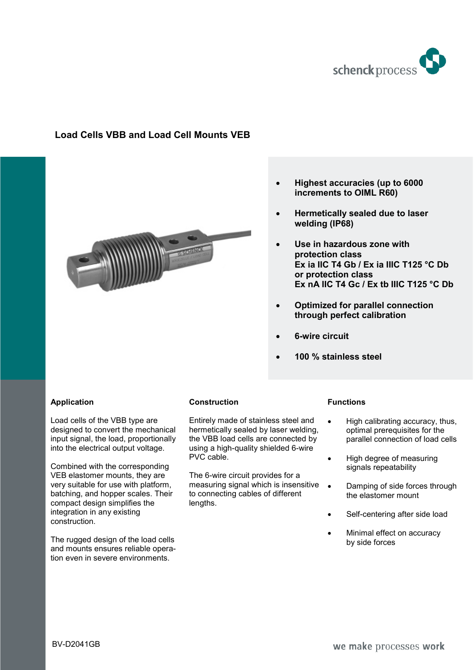

# **Load Cells VBB and Load Cell Mounts VEB**



### • **Highest accuracies (up to 6000 increments to OIML R60)**

- **Hermetically sealed due to laser welding (IP68)**
- **Use in hazardous zone with protection class Ex ia IIC T4 Gb / Ex ia IIIC T125 °C Db or protection class Ex nA IIC T4 Gc / Ex tb IIIC T125 °C Db**
- **Optimized for parallel connection through perfect calibration**
- **6-wire circuit**
- **100 % stainless steel**

### **Application**

Load cells of the VBB type are designed to convert the mechanical input signal, the load, proportionally into the electrical output voltage.

Combined with the corresponding VEB elastomer mounts, they are very suitable for use with platform, batching, and hopper scales. Their compact design simplifies the integration in any existing construction.

The rugged design of the load cells and mounts ensures reliable operation even in severe environments.

### **Construction**

Entirely made of stainless steel and hermetically sealed by laser welding, the VBB load cells are connected by using a high-quality shielded 6-wire PVC cable.

The 6-wire circuit provides for a measuring signal which is insensitive to connecting cables of different lengths.

### **Functions**

- High calibrating accuracy, thus, optimal prerequisites for the parallel connection of load cells
- High degree of measuring signals repeatability
- Damping of side forces through the elastomer mount
- Self-centering after side load
- Minimal effect on accuracy by side forces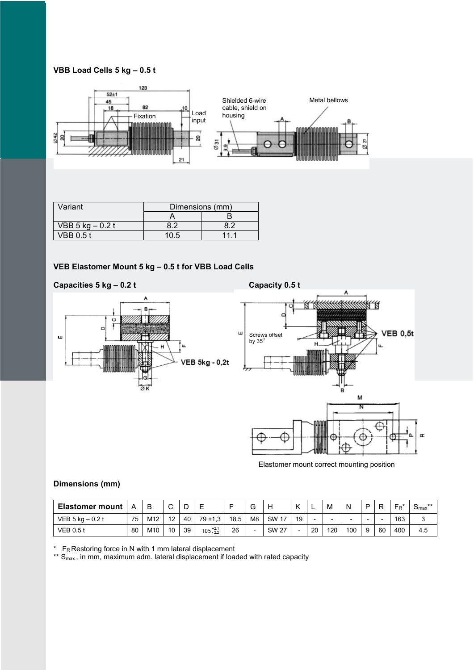### **VBB Load Cells 5 kg – 0.5 t**



| Variant             | Dimensions (mm) |     |  |  |  |
|---------------------|-----------------|-----|--|--|--|
|                     |                 |     |  |  |  |
| VBB $5$ kg $-0.2$ t | 82              | 82  |  |  |  |
| <b>VBB 0.5 t</b>    | 10.5            | 111 |  |  |  |

### **VEB Elastomer Mount 5 kg – 0.5 t for VBB Load Cells**

### Capacities 5 kg – 0.2 t Capacity 0.5 t





Elastomer mount correct mounting position

### **Dimensions (mm)**

| <b>Elastomer mount</b> | A  |     | ⌒<br>ັ |    |                     |      | ⌒<br>ت         |              |    |    | M   | N   | D |    | $\mathsf{F}_\mathsf{R}$ | **<br>⊃max |
|------------------------|----|-----|--------|----|---------------------|------|----------------|--------------|----|----|-----|-----|---|----|-------------------------|------------|
| VEB $5$ kg $-0.2$ t    | 75 | M12 | 12     | 40 | $79 + 1,3$          | 18.5 | M <sub>8</sub> | <b>SW 17</b> | 19 |    | -   |     | - |    | 163                     |            |
| <b>VEB 0.5 t</b>       | 80 | M10 | 10     | 39 | $105^{+2,1}_{-2,2}$ | 26   |                | <b>SW 27</b> |    | 20 | 120 | 100 | 9 | 60 | 400                     | 4.5        |

 $*$  FR Restoring force in N with 1 mm lateral displacement

 $^{**}$  S<sub>max</sub>, in mm, maximum adm. lateral displacement if loaded with rated capacity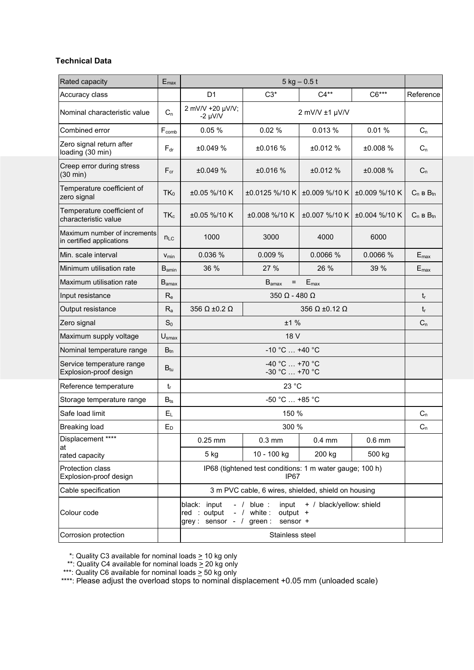#### **Technical Data**

| Rated capacity                                            | $E_{\text{max}}$  |                                                         | $5$ kg $-0.5$ t                                                              |                             |               |                  |  |  |  |  |
|-----------------------------------------------------------|-------------------|---------------------------------------------------------|------------------------------------------------------------------------------|-----------------------------|---------------|------------------|--|--|--|--|
| Accuracy class                                            |                   | D <sub>1</sub>                                          | $C6***$<br>$C3*$<br>$C4**$                                                   |                             |               |                  |  |  |  |  |
| Nominal characteristic value                              | $C_n$             | 2 mV/V +20 µV/V;<br>$-2 \mu V/V$                        | 2 mV/V ±1 µV/V                                                               |                             |               |                  |  |  |  |  |
| Combined error                                            | Fcomb             | 0.05%                                                   | 0.02%                                                                        | 0.013%                      | 0.01%         | $C_n$            |  |  |  |  |
| Zero signal return after<br>loading (30 min)              | $F_{dr}$          | ±0.049%                                                 | ±0.016%                                                                      | ±0.012%                     | ±0.008%       | $C_n$            |  |  |  |  |
| Creep error during stress<br>$(30 \text{ min})$           | $F_{cr}$          | ±0.049%                                                 | ±0.016%                                                                      | ±0.012 %                    | ±0.008%       | $C_n$            |  |  |  |  |
| Temperature coefficient of<br>zero signal                 | $TK_0$            | ±0.05 %/10 K                                            | ±0.0125 %/10 K                                                               | ±0.009 %/10 K               | ±0.009 %/10 K | $C_n$ B $B_{tn}$ |  |  |  |  |
| Temperature coefficient of<br>characteristic value        | $TK_c$            | ±0.05 %/10 K                                            | ±0.008 %/10 K                                                                | ±0.007 %/10 K               | ±0.004 %/10 K | $C_n$ B $B_{tn}$ |  |  |  |  |
| Maximum number of increments<br>in certified applications | $n_{LC}$          | 1000                                                    | 3000                                                                         | 4000                        | 6000          |                  |  |  |  |  |
| Min. scale interval                                       | V <sub>min</sub>  | 0.036 %                                                 | 0.009%                                                                       | 0.0066 %                    | 0.0066 %      | $E_{\text{max}}$ |  |  |  |  |
| Minimum utilisation rate                                  | $B_{\text{amin}}$ | 36 %                                                    | 27 %                                                                         | 26 %                        | 39 %          | $E_{\text{max}}$ |  |  |  |  |
| Maximum utilisation rate                                  | $B_{\text{amax}}$ |                                                         | $B_{\text{amax}}$<br>$=$                                                     | $E_{\text{max}}$            |               |                  |  |  |  |  |
| Input resistance                                          | $R_{e}$           |                                                         | $350 \Omega - 480 \Omega$                                                    |                             |               | $t_{r}$          |  |  |  |  |
| Output resistance                                         | $R_{a}$           | 356 Ω ±0.2 Ω                                            |                                                                              | 356 $\Omega$ ±0.12 $\Omega$ |               | $t_{r}$          |  |  |  |  |
| Zero signal                                               | $S_0$             |                                                         | ±1%                                                                          |                             |               | $C_n$            |  |  |  |  |
| Maximum supply voltage                                    | $U_{\text{smax}}$ |                                                         | 18 V                                                                         |                             |               |                  |  |  |  |  |
| Nominal temperature range                                 | $B_{tn}$          |                                                         | $-10 °C  +40 °C$                                                             |                             |               |                  |  |  |  |  |
| Service temperature range<br>Explosion-proof design       | $B_{tu}$          |                                                         | $-40 °C  +70 °C$<br>$-30 °C  +70 °C$                                         |                             |               |                  |  |  |  |  |
| Reference temperature                                     | $t_{r}$           |                                                         | 23 °C                                                                        |                             |               |                  |  |  |  |  |
| Storage temperature range                                 | $B_{ts}$          |                                                         | $-50 °C  +85 °C$                                                             |                             |               |                  |  |  |  |  |
| Safe load limit                                           | $E_L$             |                                                         | 150 %                                                                        |                             |               | $C_n$            |  |  |  |  |
| <b>Breaking load</b>                                      | $E_D$             |                                                         | 300 %                                                                        |                             |               | $C_n$            |  |  |  |  |
| Displacement ****                                         |                   | $0.25$ mm                                               | $0.3$ mm                                                                     | $0.4$ mm                    | $0.6$ mm      |                  |  |  |  |  |
| at<br>rated capacity                                      |                   | $5$ kg                                                  | 10 - 100 kg                                                                  | 200 kg                      | 500 kg        |                  |  |  |  |  |
| Protection class<br>Explosion-proof design                |                   |                                                         | IP68 (tightened test conditions: 1 m water gauge; 100 h)<br>IP <sub>67</sub> |                             |               |                  |  |  |  |  |
| Cable specification                                       |                   |                                                         | 3 m PVC cable, 6 wires, shielded, shield on housing                          |                             |               |                  |  |  |  |  |
| Colour code                                               |                   | black: input<br>red : output<br>grey: sensor - / green: | $-$ / blue :<br>input<br>- $/$ white :<br>output +<br>sensor +               | + / black/yellow: shield    |               |                  |  |  |  |  |
| Corrosion protection                                      |                   |                                                         | Stainless steel                                                              |                             |               |                  |  |  |  |  |

\*: Quality C3 available for nominal loads > 10 kg only

\*\*: Quality C4 available for nominal loads > 20 kg only

\*\*\*: Quality C6 available for nominal loads > 50 kg only

\*\*\*\*: Please adjust the overload stops to nominal displacement +0.05 mm (unloaded scale)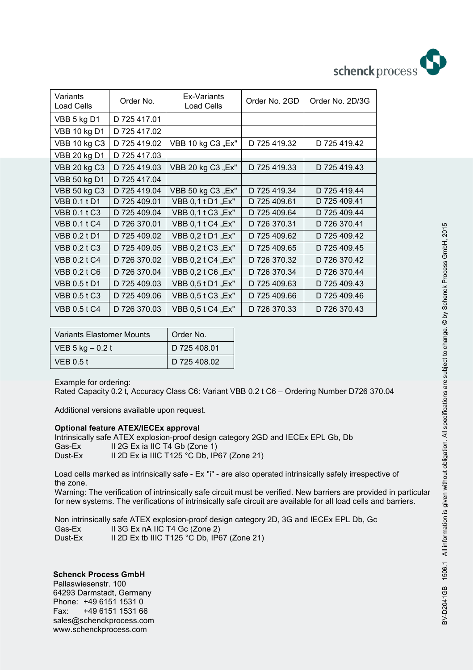

| Variants<br><b>Load Cells</b> | Order No.    | Ex-Variants<br>Load Cells | Order No. 2GD | Order No. 2D/3G |
|-------------------------------|--------------|---------------------------|---------------|-----------------|
| VBB 5 kg D1                   | D 725 417.01 |                           |               |                 |
| VBB 10 kg D1                  | D 725 417.02 |                           |               |                 |
| <b>VBB 10 kg C3</b>           | D 725 419.02 | VBB 10 kg C3 "Ex"         | D 725 419.32  | D 725 419.42    |
| VBB 20 kg D1                  | D 725 417.03 |                           |               |                 |
| <b>VBB 20 kg C3</b>           | D 725 419.03 | VBB 20 kg C3 "Ex"         | D 725 419.33  | D 725 419.43    |
| <b>VBB 50 kg D1</b>           | D 725 417.04 |                           |               |                 |
| <b>VBB 50 kg C3</b>           | D 725 419.04 | VBB 50 kg C3 "Ex"         | D 725 419.34  | D 725 419.44    |
| <b>VBB 0.1 t D1</b>           | D 725 409.01 | VBB 0,1t D1 "Ex"          | D 725 409.61  | D 725 409.41    |
| <b>VBB 0.1 t C3</b>           | D 725 409.04 | VBB 0,1 t C3 "Ex"         | D 725 409.64  | D 725 409.44    |
| <b>VBB 0.1 t C4</b>           | D 726 370.01 | VBB 0,1 t C4 "Ex"         | D 726 370.31  | D 726 370.41    |
| <b>VBB 0.2 t D1</b>           | D 725 409.02 | VBB 0,2 t D1 "Ex"         | D 725 409.62  | D 725 409.42    |
| <b>VBB 0.2 t C3</b>           | D 725 409.05 | VBB 0,2 t C3 "Ex"         | D 725 409.65  | D 725 409.45    |
| <b>VBB 0.2 t C4</b>           | D 726 370.02 | VBB 0,2 t C4 "Ex"         | D 726 370.32  | D 726 370.42    |
| <b>VBB 0.2 t C6</b>           | D 726 370.04 | VBB 0,2 t C6 "Ex"         | D 726 370.34  | D 726 370.44    |
| <b>VBB 0.5 t D1</b>           | D 725 409.03 | VBB 0,5 t D1 "Ex"         | D 725 409.63  | D 725 409.43    |
| <b>VBB 0.5 t C3</b>           | D 725 409.06 | VBB 0,5 t C3 "Ex"         | D 725 409.66  | D 725 409.46    |
| <b>VBB 0.5 t C4</b>           | D 726 370.03 | VBB 0,5 t C4 "Ex"         | D 726 370.33  | D 726 370.43    |

| Variants Elastomer Mounts | Order No.    |  |
|---------------------------|--------------|--|
| $VEB 5 kg - 0.2 t$        | D 725 408.01 |  |
| VEB 0.5 t                 | D 725 408.02 |  |

Example for ordering:

Rated Capacity 0.2 t, Accuracy Class C6: Variant VBB 0.2 t C6 – Ordering Number D726 370.04

Additional versions available upon request.

#### **Optional feature ATEX/IECEx approval**

Intrinsically safe ATEX explosion-proof design category 2GD and IECEx EPL Gb, Db Gas-Ex II 2G Ex ia IIC T4 Gb (Zone 1) Dust-Ex II 2D Ex ia IIIC T125 °C Db, IP67 (Zone 21)

Load cells marked as intrinsically safe - Ex "i" - are also operated intrinsically safely irrespective of the zone.

Warning: The verification of intrinsically safe circuit must be verified. New barriers are provided in particular for new systems. The verifications of intrinsically safe circuit are available for all load cells and barriers.

Non intrinsically safe ATEX explosion-proof design category 2D, 3G and IECEx EPL Db, Gc Gas-Ex II 3G Ex nA IIC T4 Gc (Zone 2)<br>Dust-Ex II 2D Ex tb IIIC T125 °C Db. IPe II 2D Ex tb IIIC T125 °C Db, IP67 (Zone 21)

### **Schenck Process GmbH**

Pallaswiesenstr. 100 64293 Darmstadt, Germany Phone: +49 6151 1531 0 Fax: +49 6151 1531 66 sales@schenckprocess.com www.schenckprocess.com